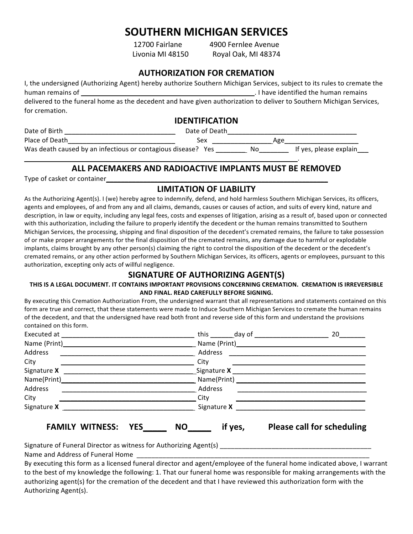# **SOUTHERN)MICHIGAN)SERVICES)**

\_\_\_\_\_\_\_\_\_\_\_\_\_\_\_\_\_\_\_\_\_\_\_\_\_\_\_\_\_\_\_\_\_\_\_\_\_\_\_\_\_\_\_\_\_\_\_\_\_\_\_\_\_\_\_\_\_\_\_\_\_\_\_\_\_\_\_\_\_\_\_\_\_\_.%

12700 Fairlane % % 4900 Fernlee Avenue Livonia MI 48150 Royal Oak, MI 48374

## **AUTHORIZATION FOR CREMATION**

| I, the undersigned (Authorizing Agent) hereby authorize Southern Michigan Services, subject to its rules to cremate the |                                       |  |
|-------------------------------------------------------------------------------------------------------------------------|---------------------------------------|--|
| human remains of                                                                                                        | . I have identified the human remains |  |
| delivered to the funeral home as the decedent and have given authorization to deliver to Southern Michigan Services,    |                                       |  |
| for cremation.                                                                                                          |                                       |  |

## **IDENTIFICATION**

Date%of%Birth \_\_\_\_\_\_\_\_\_\_\_\_\_\_\_\_\_\_\_\_\_\_\_\_\_\_\_\_\_\_%%%%%%Date%of%Death\_\_\_\_\_\_\_\_\_\_\_\_\_\_\_\_\_\_\_\_\_\_\_\_\_\_\_\_\_\_\_\_\_\_\_%%%%%%%% %%

Place%of%Death\_\_\_\_\_\_\_\_\_\_\_\_\_\_\_\_\_\_\_\_\_\_\_\_\_\_\_\_\_%%%%%%%%%%%%%Sex%%%\_\_\_\_\_\_\_\_\_\_\_\_\_\_\_\_%Age\_\_\_\_\_\_\_\_\_\_\_\_\_\_\_\_\_\_\_\_ Was death caused by an infectious or contagious disease? Yes \_\_\_\_\_\_\_\_\_\_ No\_\_\_\_\_\_\_\_\_ If yes, please explain\_\_\_

# ALL PACEMAKERS AND RADIOACTIVE IMPLANTS MUST BE REMOVED

Type of casket or container

## **LIMITATION OF LIABILITY**

As the Authorizing Agent(s). I (we) hereby agree to indemnify, defend, and hold harmless Southern Michigan Services, its officers, agents and employees, of and from any and all claims, demands, causes or causes of action, and suits of every kind, nature and description, in law or equity, including any legal fees, costs and expenses of litigation, arising as a result of, based upon or connected with this authorization, including the failure to properly identify the decedent or the human remains transmitted to Southern Michigan Services, the processing, shipping and final disposition of the decedent's cremated remains, the failure to take possession of or make proper arrangements for the final disposition of the cremated remains, any damage due to harmful or explodable implants, claims brought by any other person(s) claiming the right to control the disposition of the decedent or the decedent's cremated remains, or any other action performed by Southern Michigan Services, its officers, agents or employees, pursuant to this authorization, excepting only acts of willful negligence.

# **SIGNATURE OF AUTHORIZING AGENT(S)**

### THIS IS A LEGAL DOCUMENT. IT CONTAINS IMPORTANT PROVISIONS CONCERNING CREMATION. CREMATION IS IRREVERSIBLE AND FINAL. READ CAREFULLY BEFORE SIGNING.

By executing this Cremation Authorization From, the undersigned warrant that all representations and statements contained on this form are true and correct, that these statements were made to Induce Southern Michigan Services to cremate the human remains of the decedent, and that the undersigned have read both front and reverse side of this form and understand the provisions contained on this form.

|                                           |                                  | 20                                                        |
|-------------------------------------------|----------------------------------|-----------------------------------------------------------|
| Name (Print)<br><u>Land Communication</u> |                                  |                                                           |
| Address                                   |                                  |                                                           |
| City                                      | City                             | <u> 1980 - Johann Barnett, fransk politiker (d. 1980)</u> |
|                                           | Signature X ____________________ |                                                           |
|                                           |                                  |                                                           |
| Address                                   | Address                          |                                                           |
| City                                      | City                             |                                                           |
|                                           |                                  |                                                           |
| <b>FAMILY WITNESS:</b><br><b>YES</b>      | if yes,<br><b>NO</b>             | <b>Please call for scheduling</b>                         |

Signature%of%Funeral%Director%as%witness%for%Authorizing%Agent(s)%\_\_\_\_\_\_\_\_\_\_\_\_\_\_\_\_\_\_\_\_\_\_\_\_\_\_\_\_\_\_\_\_\_\_\_\_\_\_\_\_\_%

Name and Address of Funeral Home

By executing this form as a licensed funeral director and agent/employee of the funeral home indicated above, I warrant to the best of my knowledge the following: 1. That our funeral home was responsible for making arrangements with the authorizing agent(s) for the cremation of the decedent and that I have reviewed this authorization form with the Authorizing Agent(s).